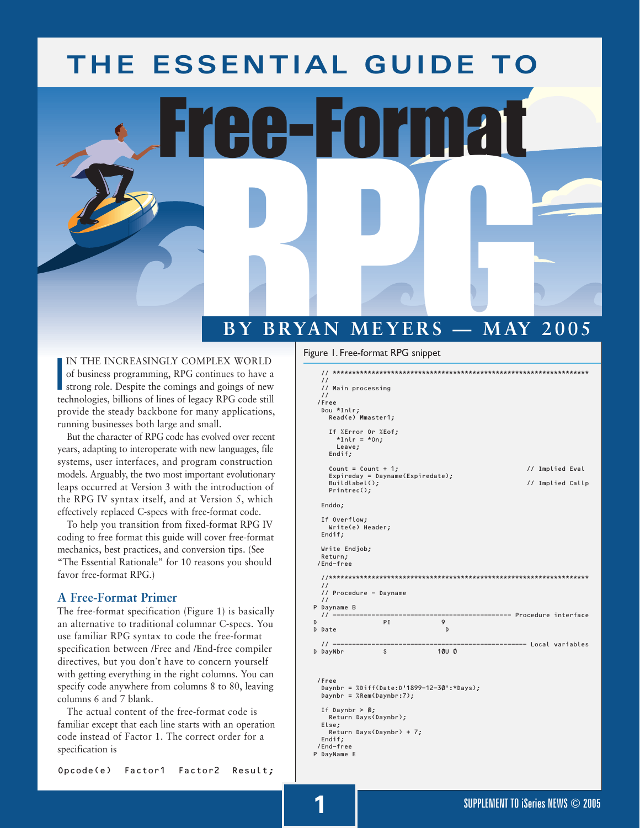# **THE ESSENTIAL GUIDE TO**

# Free-Format **BY BRYAN MEYERS — MAY 2005**

IN THE INCREASINGLY COMPLEX WORLD<br>of business programming, RPG continues to have a<br>strong role. Despite the comings and goings of new<br>technologies, billions of lines of legacy RPG code still IN THE INCREASINGLY COMPLEX WORLD of business programming, RPG continues to have a strong role. Despite the comings and goings of new provide the steady backbone for many applications, running businesses both large and small.

But the character of RPG code has evolved over recent years, adapting to interoperate with new languages, file systems, user interfaces, and program construction models. Arguably, the two most important evolutionary leaps occurred at Version 3 with the introduction of the RPG IV syntax itself, and at Version 5, which effectively replaced C-specs with free-format code.

To help you transition from fixed-format RPG IV coding to free format this guide will cover free-format mechanics, best practices, and conversion tips. (See "The Essential Rationale" for 10 reasons you should favor free-format RPG.)

## **A Free-Format Primer**

The free-format specification (Figure 1) is basically an alternative to traditional columnar C-specs. You use familiar RPG syntax to code the free-format specification between /Free and /End-free compiler directives, but you don't have to concern yourself with getting everything in the right columns. You can specify code anywhere from columns 8 to 80, leaving columns 6 and 7 blank.

The actual content of the free-format code is familiar except that each line starts with an operation code instead of Factor 1. The correct order for a specification is

#### Figure 1. Free-format RPG snippet

| $\prime$                                   |                                  |                                           |                                 |
|--------------------------------------------|----------------------------------|-------------------------------------------|---------------------------------|
| // Main processing<br>$\prime$             |                                  |                                           |                                 |
| /Free                                      |                                  |                                           |                                 |
| Dou *Inlr;<br>Read(e) Mmaster1;            |                                  |                                           |                                 |
| $*Inlr = *On;$<br>Leave;<br>Endif;         | If %Error Or %Eof;               |                                           |                                 |
|                                            | Count = Count + $1;$             |                                           | // Implied Eval                 |
| Buildlabel $()$ ;                          | Expireday = Dayname(Expiredate); |                                           | // Implied Callp                |
| $Printrec()$ ;                             |                                  |                                           |                                 |
| Enddo;                                     |                                  |                                           |                                 |
| If Overflow;<br>Write(e) Header;<br>Endif; |                                  |                                           |                                 |
| Write Endjob;<br>Return;<br>/End-free      |                                  |                                           |                                 |
|                                            |                                  |                                           |                                 |
| $\prime\prime$                             | // Procedure - Dayname           |                                           |                                 |
| $\frac{1}{2}$<br>P Dayname B               |                                  |                                           |                                 |
| // ----------<br>D                         | PI                               | 9                                         | ----------- Procedure interface |
| D Date                                     |                                  | D                                         |                                 |
|                                            |                                  |                                           |                                 |
| D DayNbr                                   | S                                | 10U 0                                     |                                 |
| /Free                                      | Daynbr = $%$ Rem(Daynbr:7);      | Daynbr = %Diff(Date:D'1899-12-30':*Days); |                                 |
| If Daynbr $>$ 0;<br>Else;                  | Return Days(Daynbr);             |                                           |                                 |
|                                            | Return Days(Daynbr) + 7;         |                                           |                                 |
| Endif;<br>/End-free<br>P DayName E         |                                  |                                           |                                 |
|                                            |                                  |                                           |                                 |

Opcode(e) Factor1 Factor2 Result;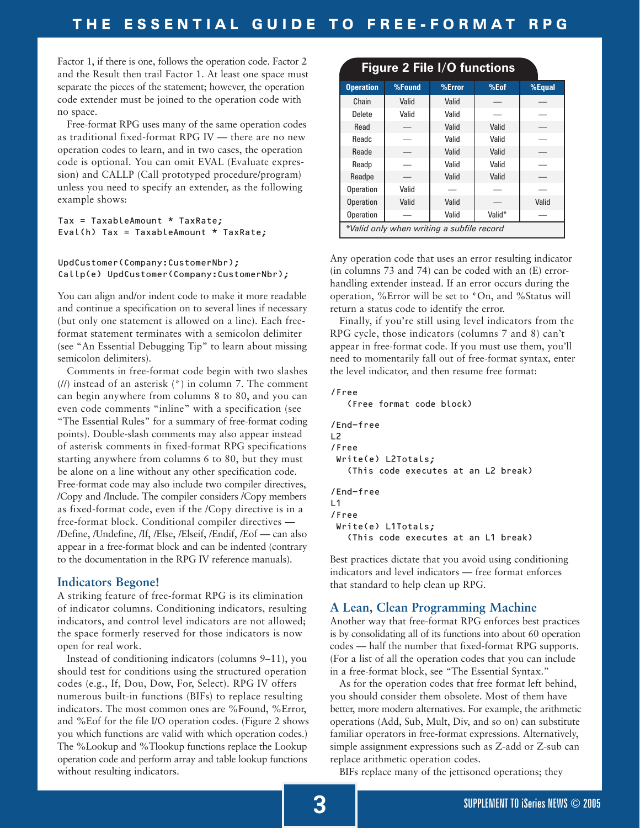Factor 1, if there is one, follows the operation code. Factor 2 and the Result then trail Factor 1. At least one space must separate the pieces of the statement; however, the operation code extender must be joined to the operation code with no space.

Free-format RPG uses many of the same operation codes as traditional fixed-format RPG IV — there are no new operation codes to learn, and in two cases, the operation code is optional. You can omit EVAL (Evaluate expression) and CALLP (Call prototyped procedure/program) unless you need to specify an extender, as the following example shows:

```
Tax = TaxableAmount * TaxRate;
Eval(h) \text{Tax} = \text{TaxableAmount} * \text{TaxRate};
```
#### UpdCustomer(Company:CustomerNbr); Callp(e) UpdCustomer(Company:CustomerNbr);

You can align and/or indent code to make it more readable and continue a specification on to several lines if necessary (but only one statement is allowed on a line). Each freeformat statement terminates with a semicolon delimiter (see "An Essential Debugging Tip" to learn about missing semicolon delimiters).

Comments in free-format code begin with two slashes  $(1)$  instead of an asterisk  $(*)$  in column 7. The comment can begin anywhere from columns 8 to 80, and you can even code comments "inline" with a specification (see "The Essential Rules" for a summary of free-format coding points). Double-slash comments may also appear instead of asterisk comments in fixed-format RPG specifications starting anywhere from columns 6 to 80, but they must be alone on a line without any other specification code. Free-format code may also include two compiler directives, /Copy and /Include. The compiler considers /Copy members as fixed-format code, even if the /Copy directive is in a free-format block. Conditional compiler directives — /Define, /Undefine, /If, /Else, /Elseif, /Endif, /Eof — can also appear in a free-format block and can be indented (contrary to the documentation in the RPG IV reference manuals).

# **Indicators Begone!**

A striking feature of free-format RPG is its elimination of indicator columns. Conditioning indicators, resulting indicators, and control level indicators are not allowed; the space formerly reserved for those indicators is now open for real work.

Instead of conditioning indicators (columns 9–11), you should test for conditions using the structured operation codes (e.g., If, Dou, Dow, For, Select). RPG IV offers numerous built-in functions (BIFs) to replace resulting indicators. The most common ones are %Found, %Error, and %Eof for the file I/O operation codes. (Figure 2 shows you which functions are valid with which operation codes.) The %Lookup and %Tlookup functions replace the Lookup operation code and perform array and table lookup functions without resulting indicators.

# **Figure 2 File I/O functions**

| <b>Operation</b>                          | %Found | %Error | %Eof   | $%$ Equal |
|-------------------------------------------|--------|--------|--------|-----------|
| Chain                                     | Valid  | Valid  |        |           |
| Delete                                    | Valid  | Valid  |        |           |
| Read                                      |        | Valid  | Valid  |           |
| Readc                                     |        | Valid  | Valid  |           |
| Reade                                     |        | Valid  | Valid  |           |
| Readp                                     |        | Valid  | Valid  |           |
| Readpe                                    |        | Valid  | Valid  |           |
| <b>Operation</b>                          | Valid  |        |        |           |
| <b>Operation</b>                          | Valid  | Valid  |        | Valid     |
| <b>Operation</b>                          |        | Valid  | Valid* |           |
| *Valid only when writing a subfile record |        |        |        |           |

Any operation code that uses an error resulting indicator (in columns 73 and 74) can be coded with an (E) errorhandling extender instead. If an error occurs during the operation, %Error will be set to \*On, and %Status will return a status code to identify the error.

Finally, if you're still using level indicators from the RPG cycle, those indicators (columns 7 and 8) can't appear in free-format code. If you must use them, you'll need to momentarily fall out of free-format syntax, enter the level indicator, and then resume free format:

```
/Free
   (Free format code block)
```

```
/End-free
L2
/Free
 Write(e) L2Totals;
   (This code executes at an L2 break)
/End-free
L<sub>1</sub>/Free
 Write(e) L1Totals;
   (This code executes at an L1 break)
```
Best practices dictate that you avoid using conditioning indicators and level indicators — free format enforces that standard to help clean up RPG.

# **A Lean, Clean Programming Machine**

Another way that free-format RPG enforces best practices is by consolidating all of its functions into about 60 operation codes — half the number that fixed-format RPG supports. (For a list of all the operation codes that you can include in a free-format block, see "The Essential Syntax."

As for the operation codes that free format left behind, you should consider them obsolete. Most of them have better, more modern alternatives. For example, the arithmetic operations (Add, Sub, Mult, Div, and so on) can substitute familiar operators in free-format expressions. Alternatively, simple assignment expressions such as Z-add or Z-sub can replace arithmetic operation codes.

BIFs replace many of the jettisoned operations; they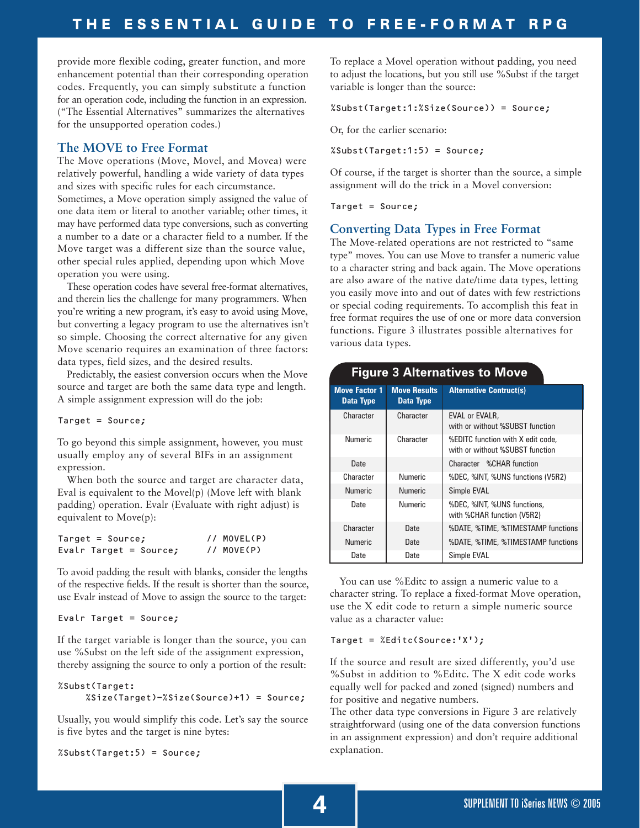provide more flexible coding, greater function, and more enhancement potential than their corresponding operation codes. Frequently, you can simply substitute a function for an operation code, including the function in an expression. ("The Essential Alternatives" summarizes the alternatives for the unsupported operation codes.)

#### **The MOVE to Free Format**

The Move operations (Move, Movel, and Movea) were relatively powerful, handling a wide variety of data types and sizes with specific rules for each circumstance.

Sometimes, a Move operation simply assigned the value of one data item or literal to another variable; other times, it may have performed data type conversions, such as converting a number to a date or a character field to a number. If the Move target was a different size than the source value, other special rules applied, depending upon which Move operation you were using.

These operation codes have several free-format alternatives, and therein lies the challenge for many programmers. When you're writing a new program, it's easy to avoid using Move, but converting a legacy program to use the alternatives isn't so simple. Choosing the correct alternative for any given Move scenario requires an examination of three factors: data types, field sizes, and the desired results.

Predictably, the easiest conversion occurs when the Move source and target are both the same data type and length. A simple assignment expression will do the job:

Target = Source;

To go beyond this simple assignment, however, you must usually employ any of several BIFs in an assignment expression.

When both the source and target are character data, Eval is equivalent to the Movel(p) (Move left with blank padding) operation. Evalr (Evaluate with right adjust) is equivalent to Move(p):

| $Target = Source;$     | // MOVEL(P) |
|------------------------|-------------|
| Evalr Target = Source; | // MOVE(P)  |

To avoid padding the result with blanks, consider the lengths of the respective fields. If the result is shorter than the source, use Evalr instead of Move to assign the source to the target:

```
Evalr Target = Source;
```
If the target variable is longer than the source, you can use %Subst on the left side of the assignment expression, thereby assigning the source to only a portion of the result:

```
%Subst(Target:
     %Size(Target)-%Size(Source)+1) = Source;
```
Usually, you would simplify this code. Let's say the source is five bytes and the target is nine bytes:

%Subst(Target:5) = Source;

To replace a Movel operation without padding, you need to adjust the locations, but you still use %Subst if the target variable is longer than the source:

%Subst(Target:1:%Size(Source)) = Source;

Or, for the earlier scenario:

%Subst(Target:1:5) = Source;

Of course, if the target is shorter than the source, a simple assignment will do the trick in a Movel conversion:

Target = Source;

# **Converting Data Types in Free Format**

The Move-related operations are not restricted to "same type" moves. You can use Move to transfer a numeric value to a character string and back again. The Move operations are also aware of the native date/time data types, letting you easily move into and out of dates with few restrictions or special coding requirements. To accomplish this feat in free format requires the use of one or more data conversion functions. Figure 3 illustrates possible alternatives for various data types.

| <b>Move Factor 1</b><br><b>Data Type</b> | <b>Move Results</b><br><b>Data Type</b> | <b>Alternative Contruct(s)</b>                                       |
|------------------------------------------|-----------------------------------------|----------------------------------------------------------------------|
| Character                                | Character                               | EVAL or EVALR,<br>with or without %SUBST function                    |
| <b>Numeric</b>                           | Character                               | %EDITC function with X edit code,<br>with or without %SUBST function |
| Date                                     |                                         | Character %CHAR function                                             |
| Character                                | <b>Numeric</b>                          | %DEC, %INT, %UNS functions (V5R2)                                    |
| <b>Numeric</b>                           | <b>Numeric</b>                          | Simple EVAL                                                          |
| Date                                     | <b>Numeric</b>                          | %DEC, %INT, %UNS functions,<br>with %CHAR function (V5R2)            |
| Character                                | Date                                    | %DATE, %TIME, %TIMESTAMP functions                                   |
| <b>Numeric</b>                           | Date                                    | %DATE, %TIME, %TIMESTAMP functions                                   |
| Date                                     | Date                                    | Simple EVAL                                                          |

# **Figure 3 Alternatives to Move**

You can use %Editc to assign a numeric value to a character string. To replace a fixed-format Move operation, use the X edit code to return a simple numeric source value as a character value:

#### Target = %Editc(Source:'X');

If the source and result are sized differently, you'd use %Subst in addition to %Editc. The X edit code works equally well for packed and zoned (signed) numbers and for positive and negative numbers.

The other data type conversions in Figure 3 are relatively straightforward (using one of the data conversion functions in an assignment expression) and don't require additional explanation.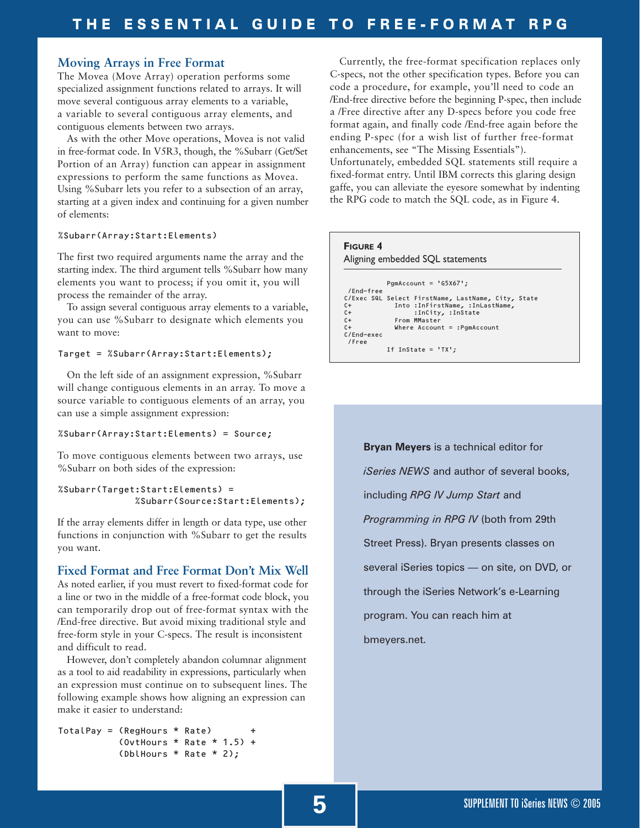#### **Moving Arrays in Free Format**

The Movea (Move Array) operation performs some specialized assignment functions related to arrays. It will move several contiguous array elements to a variable, a variable to several contiguous array elements, and contiguous elements between two arrays.

As with the other Move operations, Movea is not valid in free-format code. In V5R3, though, the %Subarr (Get/Set Portion of an Array) function can appear in assignment expressions to perform the same functions as Movea. Using %Subarr lets you refer to a subsection of an array, starting at a given index and continuing for a given number of elements:

#### %Subarr(Array:Start:Elements)

The first two required arguments name the array and the starting index. The third argument tells %Subarr how many elements you want to process; if you omit it, you will process the remainder of the array.

To assign several contiguous array elements to a variable, you can use %Subarr to designate which elements you want to move:

#### Target = %Subarr(Array:Start:Elements);

On the left side of an assignment expression, %Subarr will change contiguous elements in an array. To move a source variable to contiguous elements of an array, you can use a simple assignment expression:

#### %Subarr(Array:Start:Elements) = Source;

To move contiguous elements between two arrays, use %Subarr on both sides of the expression:

```
%Subarr(Target:Start:Elements) =
              %Subarr(Source:Start:Elements);
```
If the array elements differ in length or data type, use other functions in conjunction with %Subarr to get the results you want.

#### **Fixed Format and Free Format Don't Mix Well**

As noted earlier, if you must revert to fixed-format code for a line or two in the middle of a free-format code block, you can temporarily drop out of free-format syntax with the /End-free directive. But avoid mixing traditional style and free-form style in your C-specs. The result is inconsistent and difficult to read.

However, don't completely abandon columnar alignment as a tool to aid readability in expressions, particularly when an expression must continue on to subsequent lines. The following example shows how aligning an expression can make it easier to understand:

```
TotalPay = (RegHours * Rate)(OvtHours * Rate * 1.5) +
           (DblHours * Rate * 2);
```
Currently, the free-format specification replaces only C-specs, not the other specification types. Before you can code a procedure, for example, you'll need to code an /End-free directive before the beginning P-spec, then include a /Free directive after any D-specs before you code free format again, and finally code /End-free again before the ending P-spec (for a wish list of further free-format enhancements, see "The Missing Essentials"). Unfortunately, embedded SQL statements still require a fixed-format entry. Until IBM corrects this glaring design gaffe, you can alleviate the eyesore somewhat by indenting the RPG code to match the SQL code, as in Figure 4.

#### **FIGURE 4**

Aligning embedded SQL statements

```
PgmAccount = 'G5X67';
 /End-free
C/Exec SQL Select FirstName, LastName, City, State<br>C+ Into :InFirstName, :InLastName,
C+ Into :InFirstName, :InLastName,
C+ :InCity, :InState
C+ From MMaster
                Where Account = :PgmAccountC+<br>C/End-exec
 /Free
             If InState = 'TX';
```
**Bryan Meyers** is a technical editor for *iSeries NEWS* and author of several books, including *RPG IV Jump Start* and *Programming in RPG IV* (both from 29th Street Press). Bryan presents classes on several iSeries topics — on site, on DVD, or through the iSeries Network's e-Learning program. You can reach him at bmeyers.net.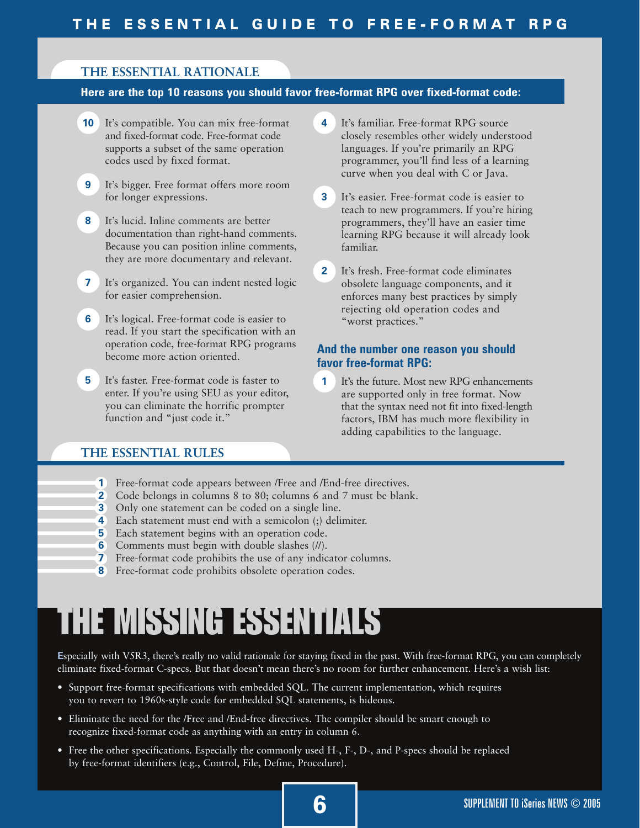# **THE ESSENTIAL RATIONALE**

# **Here are the top 10 reasons you should favor free-format RPG over fixed-format code:**

- **10** It's compatible. You can mix free-format and fixed-format code. Free-format code supports a subset of the same operation codes used by fixed format.
- **9** It's bigger. Free format offers more room for longer expressions.
- **8** It's lucid. Inline comments are better documentation than right-hand comments. Because you can position inline comments, they are more documentary and relevant.
- **7** It's organized. You can indent nested logic for easier comprehension.
- **6** It's logical. Free-format code is easier to read. If you start the specification with an operation code, free-format RPG programs become more action oriented.
- **5** It's faster. Free-format code is faster to enter. If you're using SEU as your editor, you can eliminate the horrific prompter function and "just code it."
- **4** It's familiar. Free-format RPG source closely resembles other widely understood languages. If you're primarily an RPG programmer, you'll find less of a learning curve when you deal with C or Java.
- **3** It's easier. Free-format code is easier to teach to new programmers. If you're hiring programmers, they'll have an easier time learning RPG because it will already look familiar.
- **2** It's fresh. Free-format code eliminates obsolete language components, and it enforces many best practices by simply rejecting old operation codes and "worst practices."

# **And the number one reason you should favor free-format RPG:**

**1** It's the future. Most new RPG enhancements are supported only in free format. Now that the syntax need not fit into fixed-length factors, IBM has much more flexibility in adding capabilities to the language.

# **THE ESSENTIAL RULES**

- **1** Free-format code appears between /Free and /End-free directives.
- **2** Code belongs in columns 8 to 80; columns 6 and 7 must be blank.
- **3** Only one statement can be coded on a single line.
- **4** Each statement must end with a semicolon (;) delimiter.
- **5** Each statement begins with an operation code.
- **6** Comments must begin with double slashes (*II*).<br>**7** Free-format code prohibits the use of any indic
- **7** Free-format code prohibits the use of any indicator columns.
- **8** Free-format code prohibits obsolete operation codes.

# THE MISSING ESSENTIALS

**E**specially with V5R3, there's really no valid rationale for staying fixed in the past. With free-format RPG, you can completely eliminate fixed-format C-specs. But that doesn't mean there's no room for further enhancement. Here's a wish list:

- Support free-format specifications with embedded SQL. The current implementation, which requires you to revert to 1960s-style code for embedded SQL statements, is hideous.
- Eliminate the need for the /Free and /End-free directives. The compiler should be smart enough to recognize fixed-format code as anything with an entry in column 6.
- Free the other specifications. Especially the commonly used H-, F-, D-, and P-specs should be replaced by free-format identifiers (e.g., Control, File, Define, Procedure).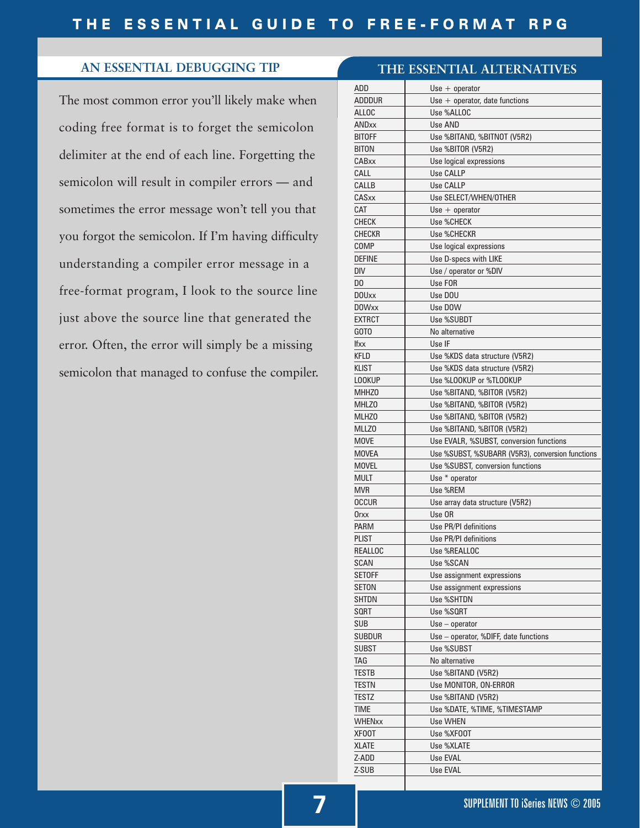# **AN ESSENTIAL DEBUGGING TIP**

The most common error you'll likely make when coding free format is to forget the semicolon delimiter at the end of each line. Forgetting the semicolon will result in compiler errors — and sometimes the error message won't tell you that you forgot the semicolon. If I'm having difficulty understanding a compiler error message in a free-format program, I look to the source line just above the source line that generated the error. Often, the error will simply be a missing semicolon that managed to confuse the compiler.

|               | THE ESSENTIAL ALTERNATIVES                       |  |  |
|---------------|--------------------------------------------------|--|--|
| ADD           | $Use + operator$                                 |  |  |
| adddur        | Use $+$ operator, date functions                 |  |  |
| ALLOC         | Use %ALLOC                                       |  |  |
| <b>ANDxx</b>  | Use AND                                          |  |  |
| <b>BITOFF</b> | Use %BITAND, %BITNOT (V5R2)                      |  |  |
| <b>BITON</b>  | Use %BITOR (V5R2)                                |  |  |
| CABxx         | Use logical expressions                          |  |  |
| CALL          | Use CALLP                                        |  |  |
| CALLB         | Use CALLP                                        |  |  |
| CASxx         | Use SELECT/WHEN/OTHER                            |  |  |
| CAT           | $Use + operator$                                 |  |  |
| <b>CHECK</b>  | Use %CHECK                                       |  |  |
| <b>CHECKR</b> | Use %CHECKR                                      |  |  |
| COMP          | Use logical expressions                          |  |  |
| <b>DEFINE</b> | Use D-specs with LIKE                            |  |  |
| DIV           | Use / operator or %DIV                           |  |  |
| DO            | Use FOR                                          |  |  |
| <b>DOUxx</b>  | Use DOU                                          |  |  |
| <b>DOWxx</b>  | Use DOW                                          |  |  |
| <b>EXTRCT</b> | Use %SUBDT                                       |  |  |
| GOTO          | No alternative                                   |  |  |
| <b>Ifxx</b>   | Use IF                                           |  |  |
| KFLD          | Use %KDS data structure (V5R2)                   |  |  |
| <b>KLIST</b>  | Use %KDS data structure (V5R2)                   |  |  |
| <b>LOOKUP</b> | Use %LOOKUP or %TLOOKUP                          |  |  |
| <b>MHHZO</b>  | Use %BITAND, %BITOR (V5R2)                       |  |  |
| MHLZ0         | Use %BITAND, %BITOR (V5R2)                       |  |  |
| MLHZ0         | Use %BITAND, %BITOR (V5R2)                       |  |  |
| MLLZ0         | Use %BITAND, %BITOR (V5R2)                       |  |  |
| MOVE          | Use EVALR, %SUBST, conversion functions          |  |  |
| <b>MOVEA</b>  | Use %SUBST, %SUBARR (V5R3), conversion functions |  |  |
| <b>MOVEL</b>  | Use %SUBST, conversion functions                 |  |  |
| <b>MULT</b>   | Use * operator                                   |  |  |
| <b>MVR</b>    | Use %REM                                         |  |  |
| OCCUR         | Use array data structure (V5R2)                  |  |  |
| Orxx          | Use OR                                           |  |  |
| <b>PARM</b>   | Use PR/PI definitions                            |  |  |
| PLIST         | Use PR/PI definitions                            |  |  |
| REALLOC       | Use %REALLOC                                     |  |  |
| SCAN          | Use %SCAN                                        |  |  |
| SETOFF        | Use assignment expressions                       |  |  |
| SETON         | Use assignment expressions                       |  |  |
| SHTDN         | <b>Use %SHTDN</b>                                |  |  |
| SQRT          | Use %SQRT                                        |  |  |
| <b>SUB</b>    | $Use - operator$                                 |  |  |
| <b>SUBDUR</b> | Use - operator, %DIFF, date functions            |  |  |
| SUBST         | Use %SUBST                                       |  |  |
| TAG           | No alternative                                   |  |  |
| TESTB         | Use %BITAND (V5R2)                               |  |  |
| <b>TESTN</b>  |                                                  |  |  |
| TESTZ         | Use MONITOR, ON-ERROR                            |  |  |
|               | Use %BITAND (V5R2)                               |  |  |
| TIME          | Use %DATE, %TIME, %TIMESTAMP                     |  |  |
| <b>WHENxx</b> | Use WHEN                                         |  |  |
| XFOOT         | Use %XF00T                                       |  |  |
| XLATE         | Use %XLATE                                       |  |  |
| Z-ADD         | Use EVAL                                         |  |  |
| Z-SUB         | Use EVAL                                         |  |  |